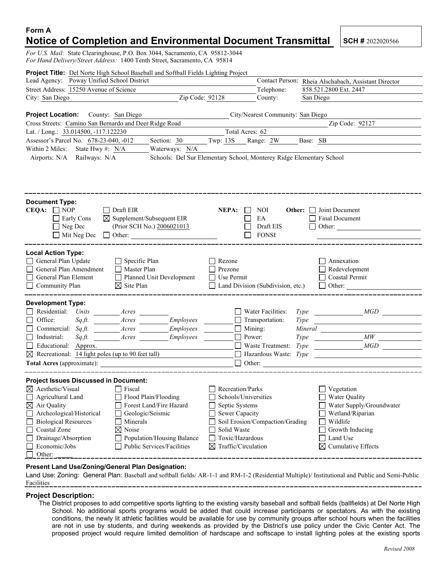# **Form A Notice of Completion and Environmental Document Transmittal SCH # 2022020566**

*For U.S. Mail:* State Clearinghouse, P.O. Box 3044, Sacramento, CA 95812-3044 *For Hand Delivery/Street Address:* 1400 Tenth Street, Sacramento, CA 95814

| <b>Project Title:</b> Del Norte High School Baseball and Softball Fields Lighting Project                                                                                                                        |                                                                                                                                                      |
|------------------------------------------------------------------------------------------------------------------------------------------------------------------------------------------------------------------|------------------------------------------------------------------------------------------------------------------------------------------------------|
| Lead Agency: Poway Unified School District                                                                                                                                                                       | Contact Person: Rheia Alschabach, Assistant Director                                                                                                 |
| Street Address: 15250 Avenue of Science                                                                                                                                                                          | Telephone:<br>858.521.2800 Ext. 2447                                                                                                                 |
| City: San Diego                                                                                                                                                                                                  | $\overline{Zip}$ Code: $92128$<br>County:<br>San Diego                                                                                               |
|                                                                                                                                                                                                                  |                                                                                                                                                      |
| <b>Project Location:</b> County: San Diego                                                                                                                                                                       | City/Nearest Community: San Diego                                                                                                                    |
| Cross Streets: Camino San Bernardo and Deer Ridge Road                                                                                                                                                           | Zip Code: 92127                                                                                                                                      |
| Lat. / Long.: 33.014500, -117.122230                                                                                                                                                                             | Total Acres: 62                                                                                                                                      |
| Assessor's Parcel No. 678-23-040, -012                                                                                                                                                                           | Section: 30 Twp: 13S Range: 2W Base: SB                                                                                                              |
| Within 2 Miles:<br>State Hwy #: N/A<br>Waterways: N/A                                                                                                                                                            |                                                                                                                                                      |
| Airports: N/A<br>Railways: N/A                                                                                                                                                                                   | Schools: Del Sur Elementary School, Monterey Ridge Elementary School                                                                                 |
|                                                                                                                                                                                                                  |                                                                                                                                                      |
| <b>Document Type:</b>                                                                                                                                                                                            |                                                                                                                                                      |
| $CEOA: \Box NOP$<br>Draft EIR<br>$\perp$<br>$\boxtimes$ Supplement/Subsequent EIR                                                                                                                                | <b>NOI</b><br><b>Other:</b> $\Box$ Joint Document<br>NEPA:<br>Final Document<br>EA                                                                   |
| $\Box$ Early Cons<br>$\Box$ Neg Dec<br>(Prior SCH No.) 2006021013                                                                                                                                                | Draft EIS<br>Other:                                                                                                                                  |
| $\Box$ Mit Neg Dec<br>Other:                                                                                                                                                                                     | <b>FONSI</b>                                                                                                                                         |
|                                                                                                                                                                                                                  |                                                                                                                                                      |
| <b>Local Action Type:</b><br>General Plan Update<br>$\Box$ Specific Plan<br>General Plan Amendment<br>Master Plan<br>General Plan Element<br>Planned Unit Development<br>Community Plan<br>$\boxtimes$ Site Plan | $\Box$ Rezone<br>Annexation<br>Redevelopment<br>Prezone<br>$\Box$ Use Permit<br>Coastal Permit<br>Land Division (Subdivision, etc.)<br>$\Box$ Other: |
| <b>Development Type:</b>                                                                                                                                                                                         |                                                                                                                                                      |
| Residential: Units ________ Acres                                                                                                                                                                                | Water Facilities:<br>$Type \tMGD$                                                                                                                    |
| Office:<br>Employees<br>$Sq\mathcal{F}$ .                                                                                                                                                                        | $\Box$ Transportation:<br><b>Type</b>                                                                                                                |
| Employees<br>$\Box$ Commercial: Sq.ft. $\Box$ Acres                                                                                                                                                              | $\Box$ Mining:                                                                                                                                       |
| $\Box$ Industrial:<br>$Sqf$ t.<br>Employees<br>$A$ cres                                                                                                                                                          | $\Box$ Power:<br>$\frac{M}{M}$<br>Type                                                                                                               |
| Educational: Approx.                                                                                                                                                                                             | <b>Waste Treatment:</b> Type<br>MGD                                                                                                                  |
| $\boxtimes$ Recreational: 14 light poles (up to 90 feet tall)                                                                                                                                                    | $\Box$ Hazardous Waste: Type                                                                                                                         |
|                                                                                                                                                                                                                  | $\Box$ Other:                                                                                                                                        |
| <b>Project Issues Discussed in Document:</b>                                                                                                                                                                     | -----------------------------                                                                                                                        |
| $\boxtimes$ Aesthetic/Visual Fiscal                                                                                                                                                                              | $\Box$ Recreation/Parks<br>$\Box$ Vegetation                                                                                                         |
| Agricultural Land<br>Flood Plain/Flooding                                                                                                                                                                        | Schools/Universities<br>Water Quality                                                                                                                |
| Air Quality<br>Forest Land/Fire Hazard<br>$\boxtimes$                                                                                                                                                            | Water Supply/Groundwater<br>Septic Systems                                                                                                           |
| Archeological/Historical<br>Geologic/Seismic                                                                                                                                                                     | Sewer Capacity<br>Wetland/Riparian                                                                                                                   |
| <b>Biological Resources</b><br>Minerals                                                                                                                                                                          | Wildlife<br>Soil Erosion/Compaction/Grading                                                                                                          |
| Coastal Zone<br>Noise<br>⊠                                                                                                                                                                                       | Solid Waste<br>Growth Inducing                                                                                                                       |
| Drainage/Absorption<br>Population/Housing Balance                                                                                                                                                                | Toxic/Hazardous<br>Land Use                                                                                                                          |
| Economic/Jobs<br>Public Services/Facilities<br>Other:                                                                                                                                                            | Traffic/Circulation<br>⊠<br>$\boxtimes$ Cumulative Effects                                                                                           |
| Present Land Use/Zoning/General Plan Designation:                                                                                                                                                                |                                                                                                                                                      |

Land Use: Zoning: General Plan: Baseball and softball fields/ AR-1-1 and RM-1-2 (Residential Multiple)/ Institutional and Public and Semi-Public Facilities

#### **Project Description:**

The District proposes to add competitive sports lighting to the existing varsity baseball and softball fields (ballfields) at Del Norte High School. No additional sports programs would be added that could increase participants or spectators. As with the existing conditions, the newly lit athletic facilities would be available for use by community groups after school hours when the facilities are not in use by students, and during weekends as provided by the District's use policy under the Civic Center Act. The proposed project would require limited demolition of hardscape and softscape to install lighting poles at the existing sports